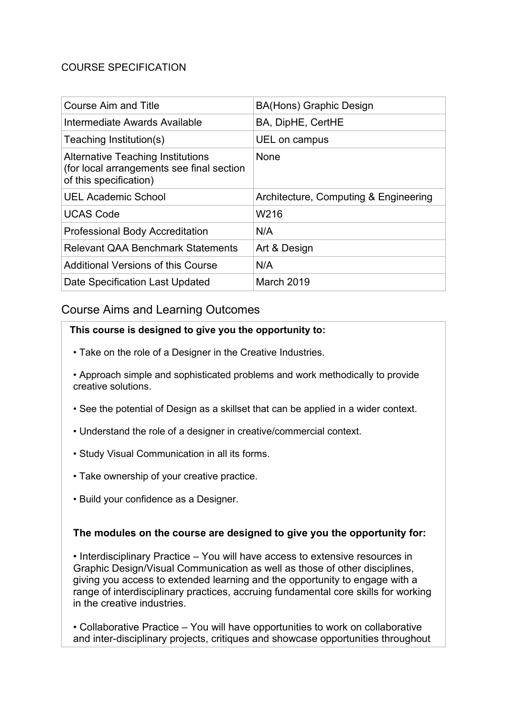# COURSE SPECIFICATION

| <b>Course Aim and Title</b>                                                                                     | <b>BA(Hons) Graphic Design</b>        |
|-----------------------------------------------------------------------------------------------------------------|---------------------------------------|
| Intermediate Awards Available                                                                                   | BA, DipHE, CertHE                     |
| Teaching Institution(s)                                                                                         | UEL on campus                         |
| <b>Alternative Teaching Institutions</b><br>(for local arrangements see final section<br>of this specification) | None                                  |
| <b>UEL Academic School</b>                                                                                      | Architecture, Computing & Engineering |
| <b>UCAS Code</b>                                                                                                | W216                                  |
| <b>Professional Body Accreditation</b>                                                                          | N/A                                   |
| <b>Relevant QAA Benchmark Statements</b>                                                                        | Art & Design                          |
| Additional Versions of this Course                                                                              | N/A                                   |
| Date Specification Last Updated                                                                                 | March 2019                            |

# Course Aims and Learning Outcomes

#### **This course is designed to give you the opportunity to:**

- Take on the role of a Designer in the Creative Industries.
- Approach simple and sophisticated problems and work methodically to provide creative solutions.
- See the potential of Design as a skillset that can be applied in a wider context.
- Understand the role of a designer in creative/commercial context.
- Study Visual Communication in all its forms.
- Take ownership of your creative practice.
- Build your confidence as a Designer.

# **The modules on the course are designed to give you the opportunity for:**

• Interdisciplinary Practice – You will have access to extensive resources in Graphic Design/Visual Communication as well as those of other disciplines, giving you access to extended learning and the opportunity to engage with a range of interdisciplinary practices, accruing fundamental core skills for working in the creative industries.

• Collaborative Practice – You will have opportunities to work on collaborative and inter-disciplinary projects, critiques and showcase opportunities throughout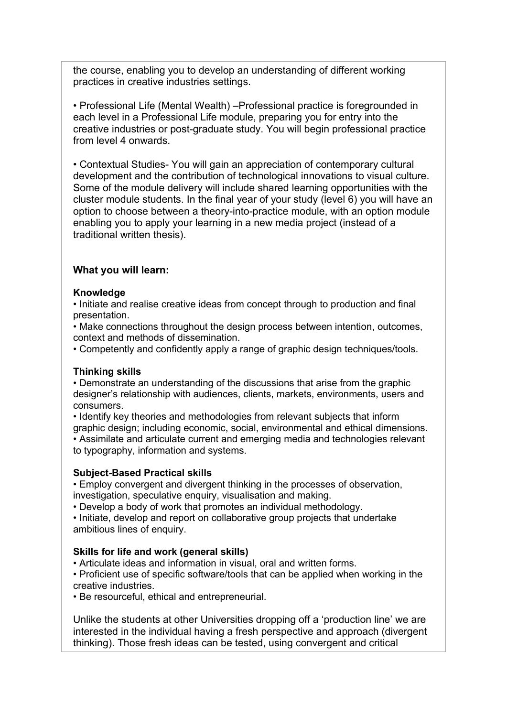the course, enabling you to develop an understanding of different working practices in creative industries settings.

• Professional Life (Mental Wealth) –Professional practice is foregrounded in each level in a Professional Life module, preparing you for entry into the creative industries or post-graduate study. You will begin professional practice from level 4 onwards.

• Contextual Studies- You will gain an appreciation of contemporary cultural development and the contribution of technological innovations to visual culture. Some of the module delivery will include shared learning opportunities with the cluster module students. In the final year of your study (level 6) you will have an option to choose between a theory-into-practice module, with an option module enabling you to apply your learning in a new media project (instead of a traditional written thesis).

#### **What you will learn:**

#### **Knowledge**

• Initiate and realise creative ideas from concept through to production and final presentation.

• Make connections throughout the design process between intention, outcomes, context and methods of dissemination.

• Competently and confidently apply a range of graphic design techniques/tools.

#### **Thinking skills**

• Demonstrate an understanding of the discussions that arise from the graphic designer's relationship with audiences, clients, markets, environments, users and consumers.

• Identify key theories and methodologies from relevant subjects that inform graphic design; including economic, social, environmental and ethical dimensions.

• Assimilate and articulate current and emerging media and technologies relevant to typography, information and systems.

#### **Subject-Based Practical skills**

• Employ convergent and divergent thinking in the processes of observation, investigation, speculative enquiry, visualisation and making.

• Develop a body of work that promotes an individual methodology.

• Initiate, develop and report on collaborative group projects that undertake ambitious lines of enquiry.

#### **Skills for life and work (general skills)**

• Articulate ideas and information in visual, oral and written forms.

• Proficient use of specific software/tools that can be applied when working in the creative industries.

• Be resourceful, ethical and entrepreneurial.

Unlike the students at other Universities dropping off a 'production line' we are interested in the individual having a fresh perspective and approach (divergent thinking). Those fresh ideas can be tested, using convergent and critical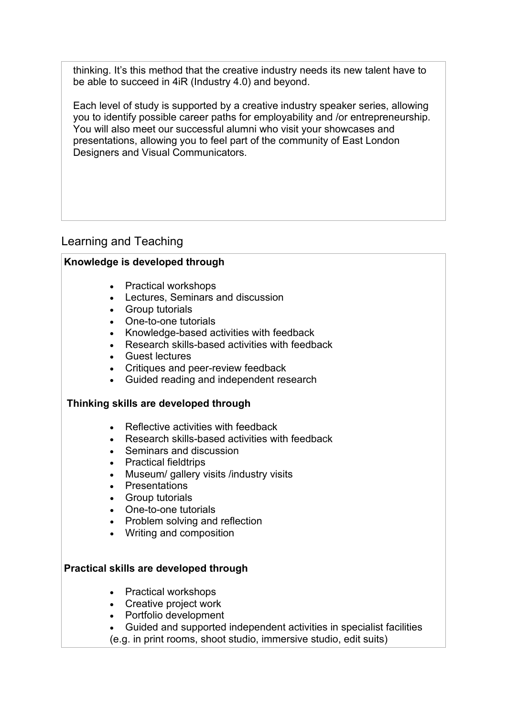thinking. It's this method that the creative industry needs its new talent have to be able to succeed in 4iR (Industry 4.0) and beyond.

Each level of study is supported by a creative industry speaker series, allowing you to identify possible career paths for employability and /or entrepreneurship. You will also meet our successful alumni who visit your showcases and presentations, allowing you to feel part of the community of East London Designers and Visual Communicators.

# Learning and Teaching

# **Knowledge is developed through**

- Practical workshops
- Lectures, Seminars and discussion
- Group tutorials
- One-to-one tutorials
- Knowledge-based activities with feedback
- Research skills-based activities with feedback
- Guest lectures
- Critiques and peer-review feedback
- Guided reading and independent research

# **Thinking skills are developed through**

- Reflective activities with feedback
- Research skills-based activities with feedback
- Seminars and discussion
- Practical fieldtrips
- Museum/ gallery visits /industry visits
- Presentations
- Group tutorials
- One-to-one tutorials
- Problem solving and reflection
- Writing and composition

# **Practical skills are developed through**

- Practical workshops
- Creative project work
- Portfolio development
- Guided and supported independent activities in specialist facilities
- (e.g. in print rooms, shoot studio, immersive studio, edit suits)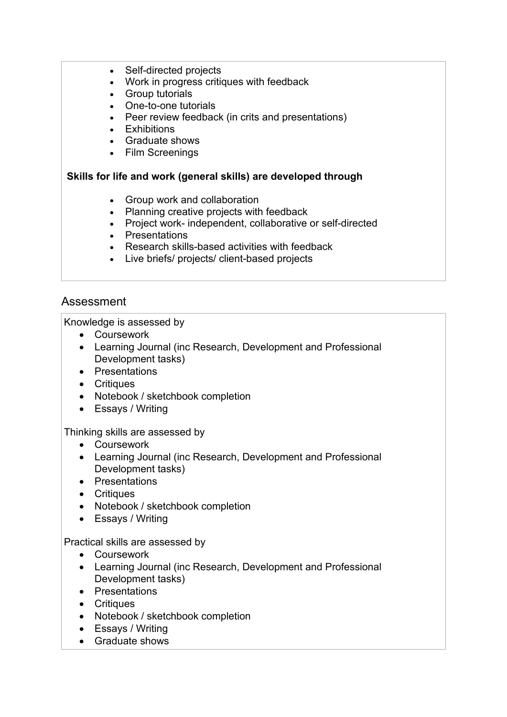- Self-directed projects
- Work in progress critiques with feedback
- Group tutorials
- One-to-one tutorials
- Peer review feedback (in crits and presentations)
- Exhibitions
- Graduate shows
- Film Screenings

#### **Skills for life and work (general skills) are developed through**

- Group work and collaboration
- Planning creative projects with feedback
- Project work- independent, collaborative or self-directed
- Presentations
- Research skills-based activities with feedback
- Live briefs/ projects/ client-based projects

# Assessment

Knowledge is assessed by

- Coursework
- Learning Journal (inc Research, Development and Professional Development tasks)
- Presentations
- Critiques
- Notebook / sketchbook completion
- Essays / Writing

#### Thinking skills are assessed by

- Coursework
- Learning Journal (inc Research, Development and Professional Development tasks)
- Presentations
- Critiques
- Notebook / sketchbook completion
- Essays / Writing

#### Practical skills are assessed by

- Coursework
- Learning Journal (inc Research, Development and Professional Development tasks)
- Presentations
- Critiques
- Notebook / sketchbook completion
- Essays / Writing
- Graduate shows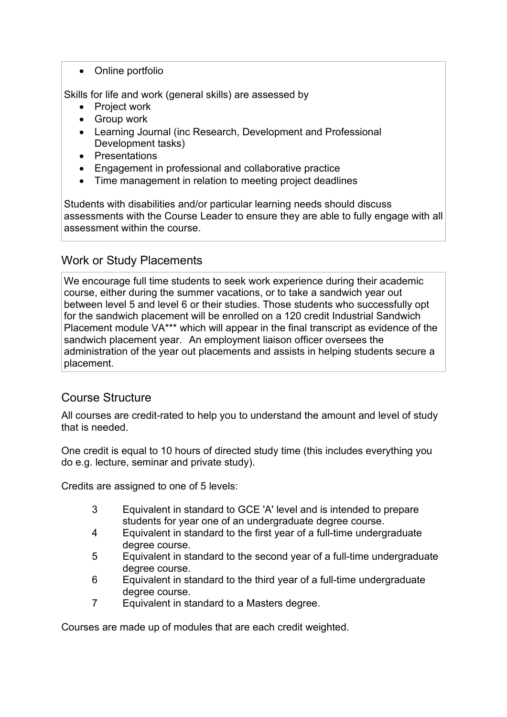• Online portfolio

Skills for life and work (general skills) are assessed by

- Project work
- Group work
- Learning Journal (inc Research, Development and Professional Development tasks)
- Presentations
- Engagement in professional and collaborative practice
- Time management in relation to meeting project deadlines

Students with disabilities and/or particular learning needs should discuss assessments with the Course Leader to ensure they are able to fully engage with all assessment within the course.

# Work or Study Placements

We encourage full time students to seek work experience during their academic course, either during the summer vacations, or to take a sandwich year out between level 5 and level 6 or their studies. Those students who successfully opt for the sandwich placement will be enrolled on a 120 credit Industrial Sandwich Placement module VA\*\*\* which will appear in the final transcript as evidence of the sandwich placement year.   An employment liaison officer oversees the administration of the year out placements and assists in helping students secure a placement. 

# Course Structure

All courses are credit-rated to help you to understand the amount and level of study that is needed.

One credit is equal to 10 hours of directed study time (this includes everything you do e.g. lecture, seminar and private study).

Credits are assigned to one of 5 levels:

- 3 Equivalent in standard to GCE 'A' level and is intended to prepare students for year one of an undergraduate degree course.
- 4 Equivalent in standard to the first year of a full-time undergraduate degree course.
- 5 Equivalent in standard to the second year of a full-time undergraduate degree course.
- 6 Equivalent in standard to the third year of a full-time undergraduate degree course.
- 7 Equivalent in standard to a Masters degree.

Courses are made up of modules that are each credit weighted.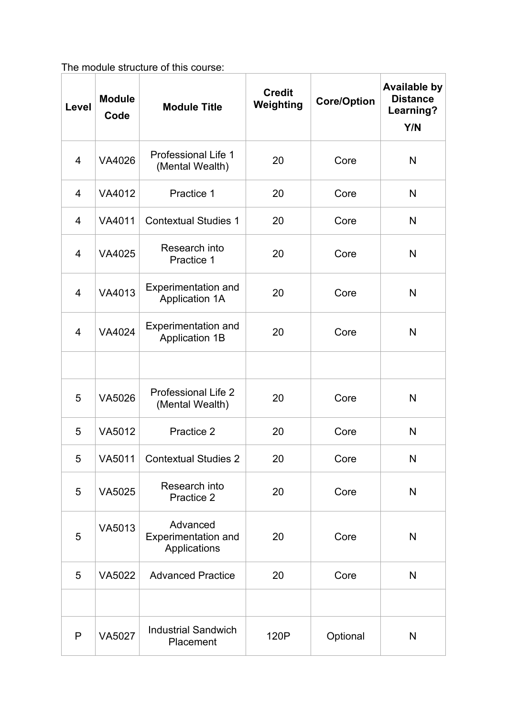The module structure of this course:

| Level          | <b>Module</b><br>Code | <b>Module Title</b>                                    | <b>Credit</b><br>Weighting | <b>Core/Option</b> | <b>Available by</b><br><b>Distance</b><br>Learning?<br>Y/N |
|----------------|-----------------------|--------------------------------------------------------|----------------------------|--------------------|------------------------------------------------------------|
| $\overline{4}$ | VA4026                | <b>Professional Life 1</b><br>(Mental Wealth)          | 20                         | Core               | N                                                          |
| 4              | VA4012                | Practice 1                                             | 20                         | Core               | N                                                          |
| 4              | VA4011                | <b>Contextual Studies 1</b>                            | 20                         | Core               | N                                                          |
| $\overline{4}$ | VA4025                | Research into<br>Practice 1                            | 20                         | Core               | N                                                          |
| $\overline{4}$ | VA4013                | <b>Experimentation and</b><br>Application 1A           | 20                         | Core               | N                                                          |
| $\overline{4}$ | VA4024                | <b>Experimentation and</b><br><b>Application 1B</b>    | 20                         | Core               | N                                                          |
|                |                       |                                                        |                            |                    |                                                            |
| 5              | VA5026                | <b>Professional Life 2</b><br>(Mental Wealth)          | 20                         | Core               | N                                                          |
| 5              | VA5012                | Practice 2                                             | 20                         | Core               | N                                                          |
| 5              | VA5011                | <b>Contextual Studies 2</b>                            | 20                         | Core               | $\mathsf{N}$                                               |
| 5              | VA5025                | Research into<br>Practice 2                            | 20                         | Core               | N                                                          |
| 5              | VA5013                | Advanced<br><b>Experimentation and</b><br>Applications | 20                         | Core               | N                                                          |
| 5              | VA5022                | <b>Advanced Practice</b>                               | 20                         | Core               | N                                                          |
|                |                       |                                                        |                            |                    |                                                            |
| $\mathsf{P}$   | <b>VA5027</b>         | <b>Industrial Sandwich</b><br>Placement                | 120P                       | Optional           | N                                                          |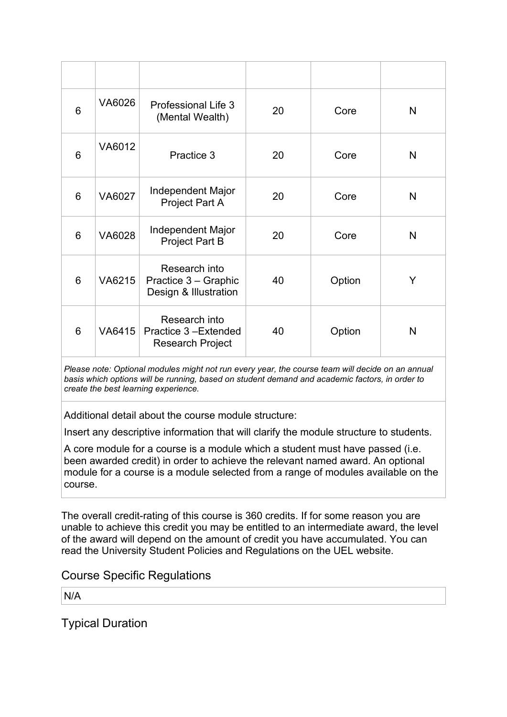| 6 | VA6026        | <b>Professional Life 3</b><br>(Mental Wealth)                   | 20 | Core   | N            |
|---|---------------|-----------------------------------------------------------------|----|--------|--------------|
| 6 | VA6012        | Practice 3                                                      | 20 | Core   | N            |
| 6 | VA6027        | Independent Major<br>Project Part A                             | 20 | Core   | N            |
| 6 | <b>VA6028</b> | <b>Independent Major</b><br><b>Project Part B</b>               | 20 | Core   | $\mathsf{N}$ |
| 6 | VA6215        | Research into<br>Practice 3 - Graphic<br>Design & Illustration  | 40 | Option | Y            |
| 6 | VA6415        | Research into<br>Practice 3-Extended<br><b>Research Project</b> | 40 | Option | N            |

*Please note: Optional modules might not run every year, the course team will decide on an annual basis which options will be running, based on student demand and academic factors, in order to create the best learning experience.*

Additional detail about the course module structure:

Insert any descriptive information that will clarify the module structure to students.

A core module for a course is a module which a student must have passed (i.e. been awarded credit) in order to achieve the relevant named award. An optional module for a course is a module selected from a range of modules available on the course.

The overall credit-rating of this course is 360 credits. If for some reason you are unable to achieve this credit you may be entitled to an intermediate award, the level of the award will depend on the amount of credit you have accumulated. You can read the University Student Policies and Regulations on the UEL website.

Course Specific Regulations

N/A

Typical Duration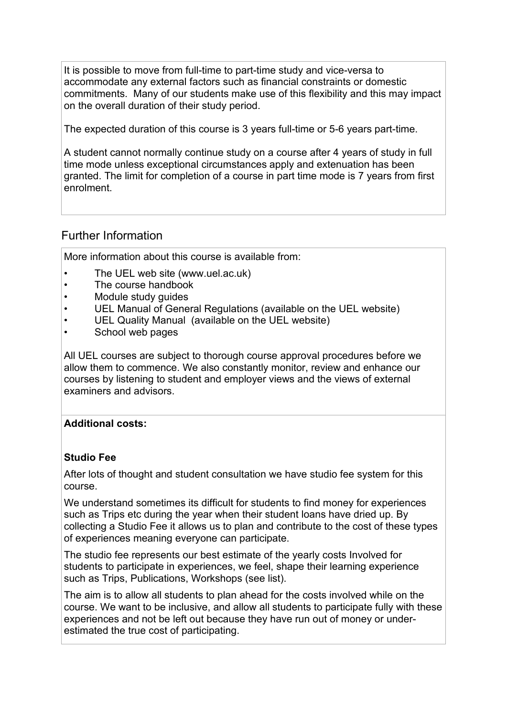It is possible to move from full-time to part-time study and vice-versa to accommodate any external factors such as financial constraints or domestic commitments. Many of our students make use of this flexibility and this may impact on the overall duration of their study period.

The expected duration of this course is 3 years full-time or 5-6 years part-time.

A student cannot normally continue study on a course after 4 years of study in full time mode unless exceptional circumstances apply and extenuation has been granted. The limit for completion of a course in part time mode is 7 years from first enrolment.

# Further Information

More information about this course is available from:

- The UEL web site (www.uel.ac.uk)
- The course handbook
- Module study guides
- UEL Manual of General Regulations (available on the UEL website)
- UEL Quality Manual (available on the UEL website)
- School web pages

All UEL courses are subject to thorough course approval procedures before we allow them to commence. We also constantly monitor, review and enhance our courses by listening to student and employer views and the views of external examiners and advisors.

# **Additional costs:**

# **Studio Fee**

After lots of thought and student consultation we have studio fee system for this course.

We understand sometimes its difficult for students to find money for experiences such as Trips etc during the year when their student loans have dried up. By collecting a Studio Fee it allows us to plan and contribute to the cost of these types of experiences meaning everyone can participate.

The studio fee represents our best estimate of the yearly costs Involved for students to participate in experiences, we feel, shape their learning experience such as Trips, Publications, Workshops (see list).

The aim is to allow all students to plan ahead for the costs involved while on the course. We want to be inclusive, and allow all students to participate fully with these experiences and not be left out because they have run out of money or underestimated the true cost of participating.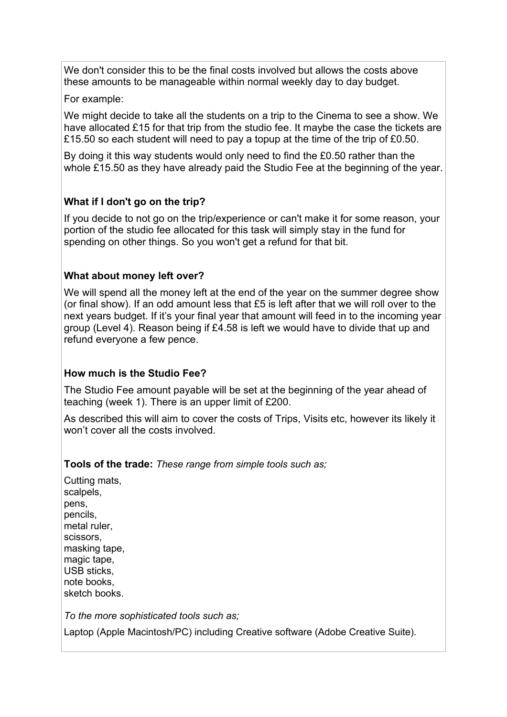We don't consider this to be the final costs involved but allows the costs above these amounts to be manageable within normal weekly day to day budget.

For example:

We might decide to take all the students on a trip to the Cinema to see a show. We have allocated £15 for that trip from the studio fee. It maybe the case the tickets are £15.50 so each student will need to pay a topup at the time of the trip of £0.50.

By doing it this way students would only need to find the £0.50 rather than the whole £15.50 as they have already paid the Studio Fee at the beginning of the year.

# **What if I don't go on the trip?**

If you decide to not go on the trip/experience or can't make it for some reason, your portion of the studio fee allocated for this task will simply stay in the fund for spending on other things. So you won't get a refund for that bit.

# **What about money left over?**

We will spend all the money left at the end of the year on the summer degree show (or final show). If an odd amount less that £5 is left after that we will roll over to the next years budget. If it's your final year that amount will feed in to the incoming year group (Level 4). Reason being if £4.58 is left we would have to divide that up and refund everyone a few pence.

# **How much is the Studio Fee?**

The Studio Fee amount payable will be set at the beginning of the year ahead of teaching (week 1). There is an upper limit of £200.

As described this will aim to cover the costs of Trips, Visits etc, however its likely it won't cover all the costs involved.

#### **Tools of the trade:** *These range from simple tools such as;*

Cutting mats, scalpels, pens, pencils, metal ruler, scissors, masking tape, magic tape, USB sticks, note books, sketch books.

*To the more sophisticated tools such as;* 

Laptop (Apple Macintosh/PC) including Creative software (Adobe Creative Suite).